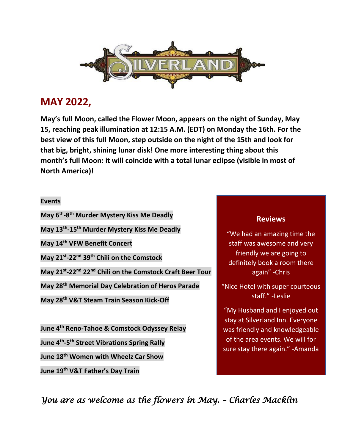

## **MAY 2022,**

**May's full Moon, called the Flower Moon, appears on the night of Sunday, May 15, reaching peak illumination at 12:15 A.M. (EDT) on Monday the 16th. For the best view of this full Moon, step outside on the night of the 15th and look for that big, bright, shining lunar disk! One more interesting thing about this month's full Moon: it will coincide with a total lunar eclipse (visible in most of North America)!**

## **Events**

**May 6th -8 th Murder Mystery Kiss Me Deadly**

**May 13th -15th Murder Mystery Kiss Me Deadly** 

**May 14th VFW Benefit Concert**

**May 21st -22nd 39th Chili on the Comstock**

**May 21st -22nd 22nd Chili on the Comstock Craft Beer Tour**

**May 28th Memorial Day Celebration of Heros Parade** 

**May 28th V&T Steam Train Season Kick-Off** 

**June 4th Reno-Tahoe & Comstock Odyssey Relay** 

**June 4th -5 th Street Vibrations Spring Rally** 

**June 18th Women with Wheelz Car Show** 

**June 19th V&T Father's Day Train**

## **Reviews**

"We had an amazing time the staff was awesome and very friendly we are going to definitely book a room there again" -Chris

"Nice Hotel with super courteous staff." -Leslie

"My Husband and I enjoyed out stay at Silverland Inn. Everyone was friendly and knowledgeable of the area events. We will for sure stay there again." -Amanda

*You are as welcome as the flowers in May. – Charles Macklin*